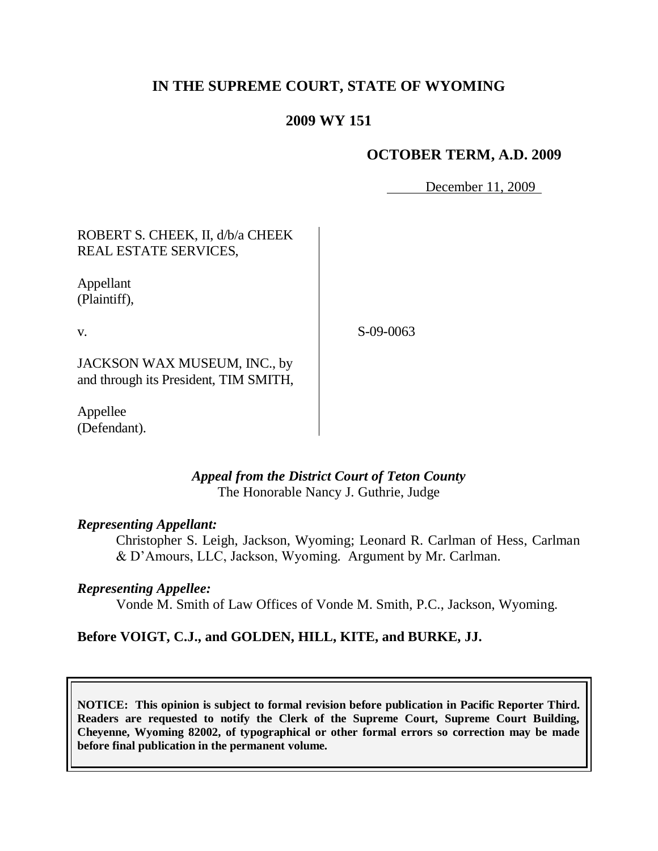# **IN THE SUPREME COURT, STATE OF WYOMING**

# **2009 WY 151**

## **OCTOBER TERM, A.D. 2009**

December 11, 2009

| ROBERT S. CHEEK, II, d/b/a CHEEK |
|----------------------------------|
| REAL ESTATE SERVICES,            |

Appellant (Plaintiff),

v.

S-09-0063

JACKSON WAX MUSEUM, INC., by and through its President, TIM SMITH,

Appellee (Defendant).

### *Appeal from the District Court of Teton County* The Honorable Nancy J. Guthrie, Judge

### *Representing Appellant:*

Christopher S. Leigh, Jackson, Wyoming; Leonard R. Carlman of Hess, Carlman & D"Amours, LLC, Jackson, Wyoming. Argument by Mr. Carlman.

### *Representing Appellee:*

Vonde M. Smith of Law Offices of Vonde M. Smith, P.C., Jackson, Wyoming.

### **Before VOIGT, C.J., and GOLDEN, HILL, KITE, and BURKE, JJ.**

**NOTICE: This opinion is subject to formal revision before publication in Pacific Reporter Third. Readers are requested to notify the Clerk of the Supreme Court, Supreme Court Building, Cheyenne, Wyoming 82002, of typographical or other formal errors so correction may be made before final publication in the permanent volume.**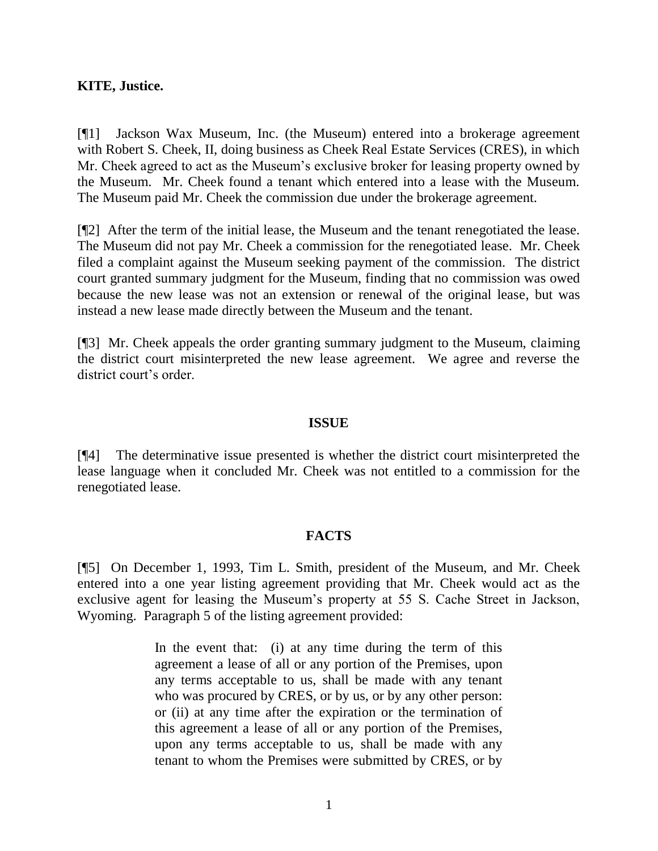### **KITE, Justice.**

[¶1] Jackson Wax Museum, Inc. (the Museum) entered into a brokerage agreement with Robert S. Cheek, II, doing business as Cheek Real Estate Services (CRES), in which Mr. Cheek agreed to act as the Museum"s exclusive broker for leasing property owned by the Museum. Mr. Cheek found a tenant which entered into a lease with the Museum. The Museum paid Mr. Cheek the commission due under the brokerage agreement.

[¶2] After the term of the initial lease, the Museum and the tenant renegotiated the lease. The Museum did not pay Mr. Cheek a commission for the renegotiated lease. Mr. Cheek filed a complaint against the Museum seeking payment of the commission. The district court granted summary judgment for the Museum, finding that no commission was owed because the new lease was not an extension or renewal of the original lease, but was instead a new lease made directly between the Museum and the tenant.

[¶3] Mr. Cheek appeals the order granting summary judgment to the Museum, claiming the district court misinterpreted the new lease agreement. We agree and reverse the district court's order.

#### **ISSUE**

[¶4] The determinative issue presented is whether the district court misinterpreted the lease language when it concluded Mr. Cheek was not entitled to a commission for the renegotiated lease.

### **FACTS**

[¶5] On December 1, 1993, Tim L. Smith, president of the Museum, and Mr. Cheek entered into a one year listing agreement providing that Mr. Cheek would act as the exclusive agent for leasing the Museum"s property at 55 S. Cache Street in Jackson, Wyoming. Paragraph 5 of the listing agreement provided:

> In the event that: (i) at any time during the term of this agreement a lease of all or any portion of the Premises, upon any terms acceptable to us, shall be made with any tenant who was procured by CRES, or by us, or by any other person: or (ii) at any time after the expiration or the termination of this agreement a lease of all or any portion of the Premises, upon any terms acceptable to us, shall be made with any tenant to whom the Premises were submitted by CRES, or by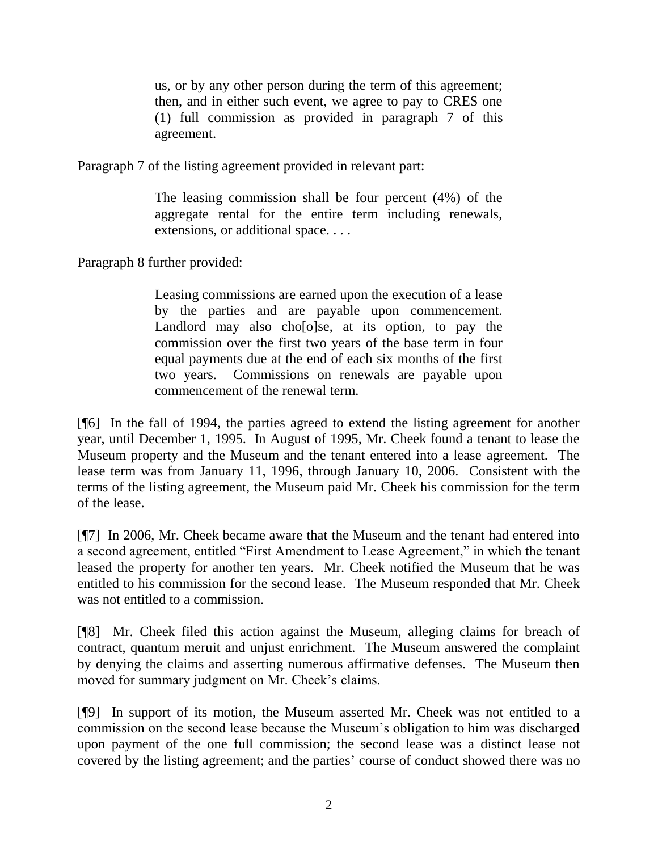us, or by any other person during the term of this agreement; then, and in either such event, we agree to pay to CRES one (1) full commission as provided in paragraph 7 of this agreement.

Paragraph 7 of the listing agreement provided in relevant part:

The leasing commission shall be four percent (4%) of the aggregate rental for the entire term including renewals, extensions, or additional space. . . .

Paragraph 8 further provided:

Leasing commissions are earned upon the execution of a lease by the parties and are payable upon commencement. Landlord may also cho[o]se, at its option, to pay the commission over the first two years of the base term in four equal payments due at the end of each six months of the first two years. Commissions on renewals are payable upon commencement of the renewal term.

[¶6] In the fall of 1994, the parties agreed to extend the listing agreement for another year, until December 1, 1995. In August of 1995, Mr. Cheek found a tenant to lease the Museum property and the Museum and the tenant entered into a lease agreement. The lease term was from January 11, 1996, through January 10, 2006. Consistent with the terms of the listing agreement, the Museum paid Mr. Cheek his commission for the term of the lease.

[¶7] In 2006, Mr. Cheek became aware that the Museum and the tenant had entered into a second agreement, entitled "First Amendment to Lease Agreement," in which the tenant leased the property for another ten years. Mr. Cheek notified the Museum that he was entitled to his commission for the second lease. The Museum responded that Mr. Cheek was not entitled to a commission.

[¶8] Mr. Cheek filed this action against the Museum, alleging claims for breach of contract, quantum meruit and unjust enrichment. The Museum answered the complaint by denying the claims and asserting numerous affirmative defenses. The Museum then moved for summary judgment on Mr. Cheek's claims.

[¶9] In support of its motion, the Museum asserted Mr. Cheek was not entitled to a commission on the second lease because the Museum"s obligation to him was discharged upon payment of the one full commission; the second lease was a distinct lease not covered by the listing agreement; and the parties' course of conduct showed there was no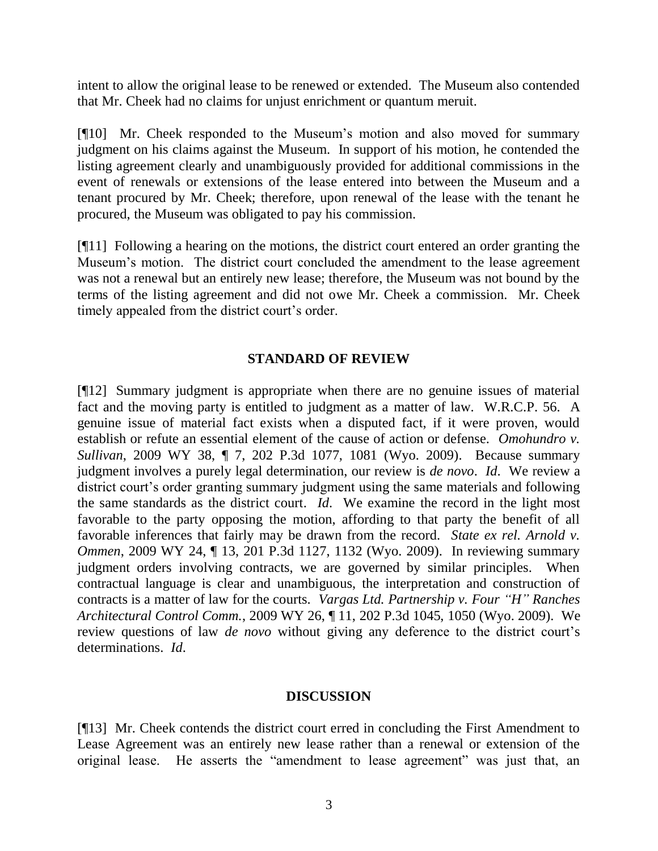intent to allow the original lease to be renewed or extended. The Museum also contended that Mr. Cheek had no claims for unjust enrichment or quantum meruit.

[¶10] Mr. Cheek responded to the Museum"s motion and also moved for summary judgment on his claims against the Museum. In support of his motion, he contended the listing agreement clearly and unambiguously provided for additional commissions in the event of renewals or extensions of the lease entered into between the Museum and a tenant procured by Mr. Cheek; therefore, upon renewal of the lease with the tenant he procured, the Museum was obligated to pay his commission.

[¶11] Following a hearing on the motions, the district court entered an order granting the Museum"s motion. The district court concluded the amendment to the lease agreement was not a renewal but an entirely new lease; therefore, the Museum was not bound by the terms of the listing agreement and did not owe Mr. Cheek a commission. Mr. Cheek timely appealed from the district court's order.

## **STANDARD OF REVIEW**

[¶12] Summary judgment is appropriate when there are no genuine issues of material fact and the moving party is entitled to judgment as a matter of law. W.R.C.P. 56. A genuine issue of material fact exists when a disputed fact, if it were proven, would establish or refute an essential element of the cause of action or defense. *Omohundro v. Sullivan*, 2009 WY 38, ¶ 7, 202 P.3d 1077, 1081 (Wyo. 2009). Because summary judgment involves a purely legal determination, our review is *de novo*. *Id*. We review a district court's order granting summary judgment using the same materials and following the same standards as the district court. *Id*. We examine the record in the light most favorable to the party opposing the motion, affording to that party the benefit of all favorable inferences that fairly may be drawn from the record. *State ex rel. Arnold v. Ommen*, 2009 WY 24, ¶ 13, 201 P.3d 1127, 1132 (Wyo. 2009). In reviewing summary judgment orders involving contracts, we are governed by similar principles. When contractual language is clear and unambiguous, the interpretation and construction of contracts is a matter of law for the courts. *Vargas Ltd. Partnership v. Four "H" Ranches Architectural Control Comm.*, 2009 WY 26, ¶ 11, 202 P.3d 1045, 1050 (Wyo. 2009). We review questions of law *de novo* without giving any deference to the district court's determinations. *Id*.

### **DISCUSSION**

[¶13] Mr. Cheek contends the district court erred in concluding the First Amendment to Lease Agreement was an entirely new lease rather than a renewal or extension of the original lease. He asserts the "amendment to lease agreement" was just that, an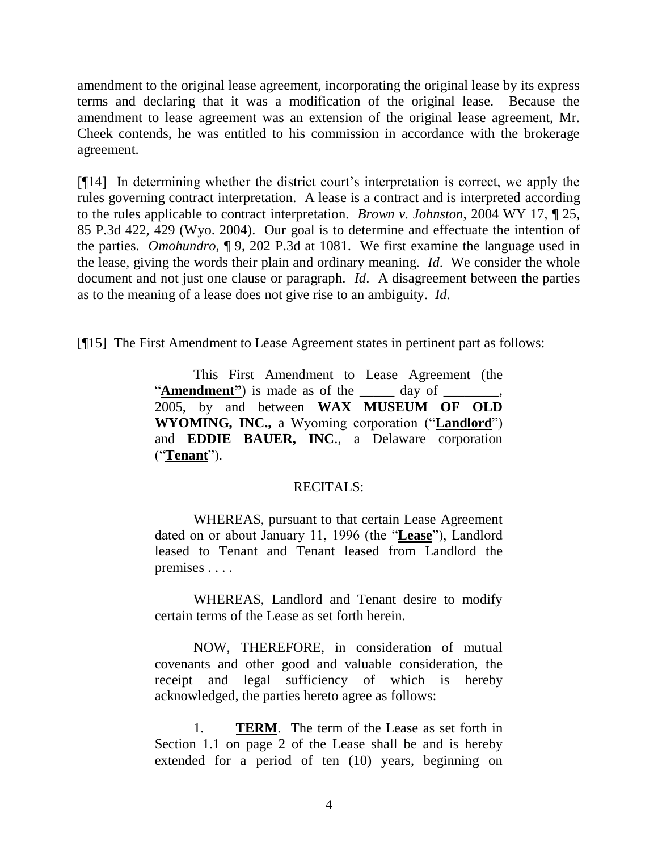amendment to the original lease agreement, incorporating the original lease by its express terms and declaring that it was a modification of the original lease. Because the amendment to lease agreement was an extension of the original lease agreement, Mr. Cheek contends, he was entitled to his commission in accordance with the brokerage agreement.

[¶14] In determining whether the district court"s interpretation is correct, we apply the rules governing contract interpretation. A lease is a contract and is interpreted according to the rules applicable to contract interpretation. *Brown v. Johnston*, 2004 WY 17, ¶ 25, 85 P.3d 422, 429 (Wyo. 2004). Our goal is to determine and effectuate the intention of the parties. *Omohundro*, ¶ 9, 202 P.3d at 1081. We first examine the language used in the lease, giving the words their plain and ordinary meaning. *Id*. We consider the whole document and not just one clause or paragraph. *Id*. A disagreement between the parties as to the meaning of a lease does not give rise to an ambiguity. *Id*.

[¶15] The First Amendment to Lease Agreement states in pertinent part as follows:

This First Amendment to Lease Agreement (the "**Amendment**") is made as of the day of 2005, by and between **WAX MUSEUM OF OLD WYOMING, INC.,** a Wyoming corporation ("**Landlord**") and **EDDIE BAUER, INC**., a Delaware corporation ("**Tenant**").

### RECITALS:

WHEREAS, pursuant to that certain Lease Agreement dated on or about January 11, 1996 (the "**Lease**"), Landlord leased to Tenant and Tenant leased from Landlord the premises . . . .

WHEREAS, Landlord and Tenant desire to modify certain terms of the Lease as set forth herein.

NOW, THEREFORE, in consideration of mutual covenants and other good and valuable consideration, the receipt and legal sufficiency of which is hereby acknowledged, the parties hereto agree as follows:

1. **TERM**. The term of the Lease as set forth in Section 1.1 on page 2 of the Lease shall be and is hereby extended for a period of ten (10) years, beginning on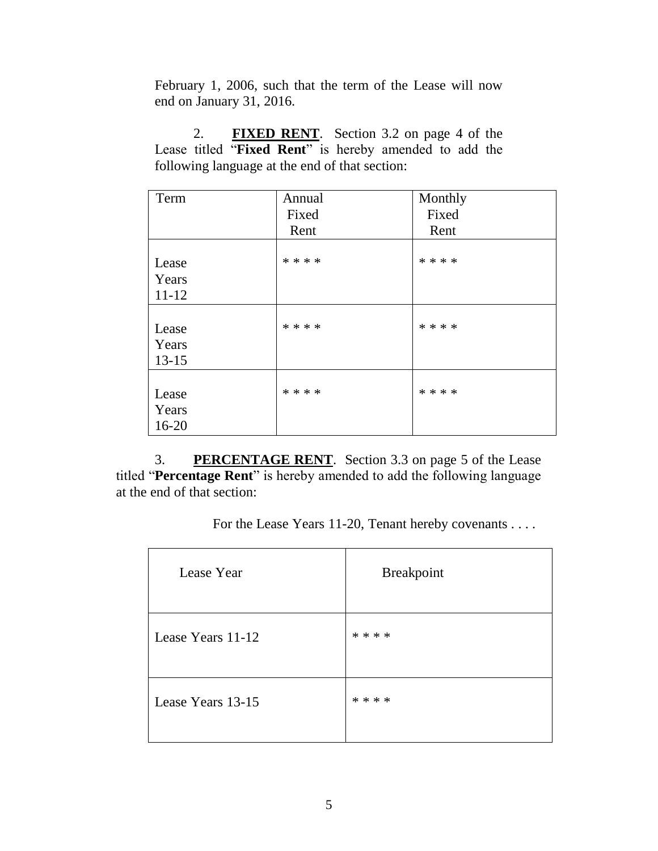February 1, 2006, such that the term of the Lease will now end on January 31, 2016.

2. **FIXED RENT**. Section 3.2 on page 4 of the Lease titled "**Fixed Rent**" is hereby amended to add the following language at the end of that section:

| Term      | Annual  | Monthly |
|-----------|---------|---------|
|           | Fixed   | Fixed   |
|           | Rent    | Rent    |
|           |         |         |
| Lease     | * * * * | * * * * |
| Years     |         |         |
| $11 - 12$ |         |         |
|           |         |         |
| Lease     | * * * * | * * * * |
| Years     |         |         |
| $13 - 15$ |         |         |
|           |         |         |
| Lease     | * * * * | * * * * |
| Years     |         |         |
| $16-20$   |         |         |

3. **PERCENTAGE RENT**. Section 3.3 on page 5 of the Lease titled "**Percentage Rent**" is hereby amended to add the following language at the end of that section:

For the Lease Years 11-20, Tenant hereby covenants . . . .

| Lease Year        | <b>Breakpoint</b> |
|-------------------|-------------------|
| Lease Years 11-12 | * * * *           |
| Lease Years 13-15 | * * * *           |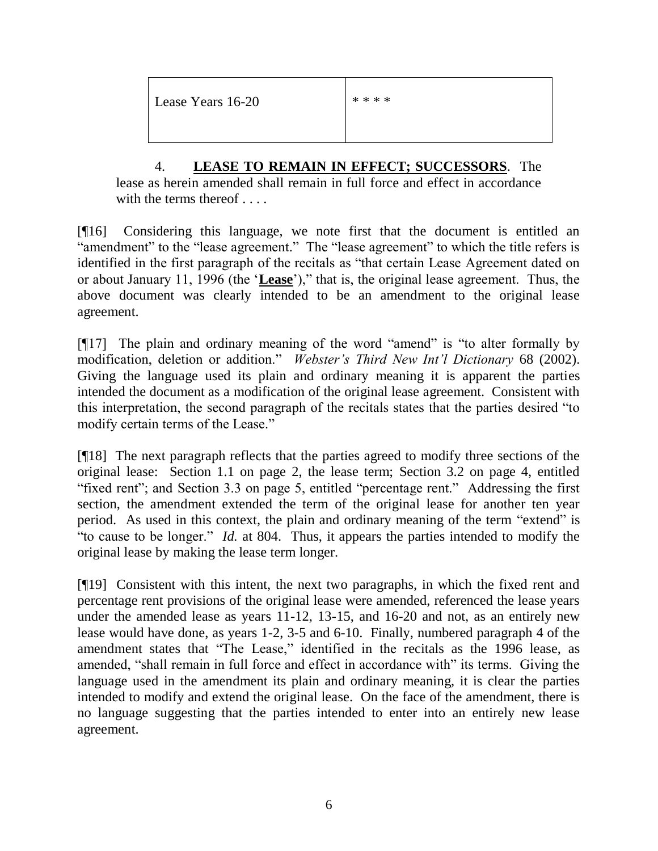Lease Years 16-20  $****$ 

4. **LEASE TO REMAIN IN EFFECT; SUCCESSORS**. The lease as herein amended shall remain in full force and effect in accordance with the terms thereof . . . .

[¶16] Considering this language, we note first that the document is entitled an "amendment" to the "lease agreement." The "lease agreement" to which the title refers is identified in the first paragraph of the recitals as "that certain Lease Agreement dated on or about January 11, 1996 (the "**Lease**")," that is, the original lease agreement. Thus, the above document was clearly intended to be an amendment to the original lease agreement.

[¶17] The plain and ordinary meaning of the word "amend" is "to alter formally by modification, deletion or addition." *Webster's Third New Int'l Dictionary* 68 (2002). Giving the language used its plain and ordinary meaning it is apparent the parties intended the document as a modification of the original lease agreement. Consistent with this interpretation, the second paragraph of the recitals states that the parties desired "to modify certain terms of the Lease."

[¶18] The next paragraph reflects that the parties agreed to modify three sections of the original lease: Section 1.1 on page 2, the lease term; Section 3.2 on page 4, entitled "fixed rent"; and Section 3.3 on page 5, entitled "percentage rent." Addressing the first section, the amendment extended the term of the original lease for another ten year period. As used in this context, the plain and ordinary meaning of the term "extend" is "to cause to be longer." *Id.* at 804. Thus, it appears the parties intended to modify the original lease by making the lease term longer.

[¶19] Consistent with this intent, the next two paragraphs, in which the fixed rent and percentage rent provisions of the original lease were amended, referenced the lease years under the amended lease as years 11-12, 13-15, and 16-20 and not, as an entirely new lease would have done, as years 1-2, 3-5 and 6-10. Finally, numbered paragraph 4 of the amendment states that "The Lease," identified in the recitals as the 1996 lease, as amended, "shall remain in full force and effect in accordance with" its terms. Giving the language used in the amendment its plain and ordinary meaning, it is clear the parties intended to modify and extend the original lease. On the face of the amendment, there is no language suggesting that the parties intended to enter into an entirely new lease agreement.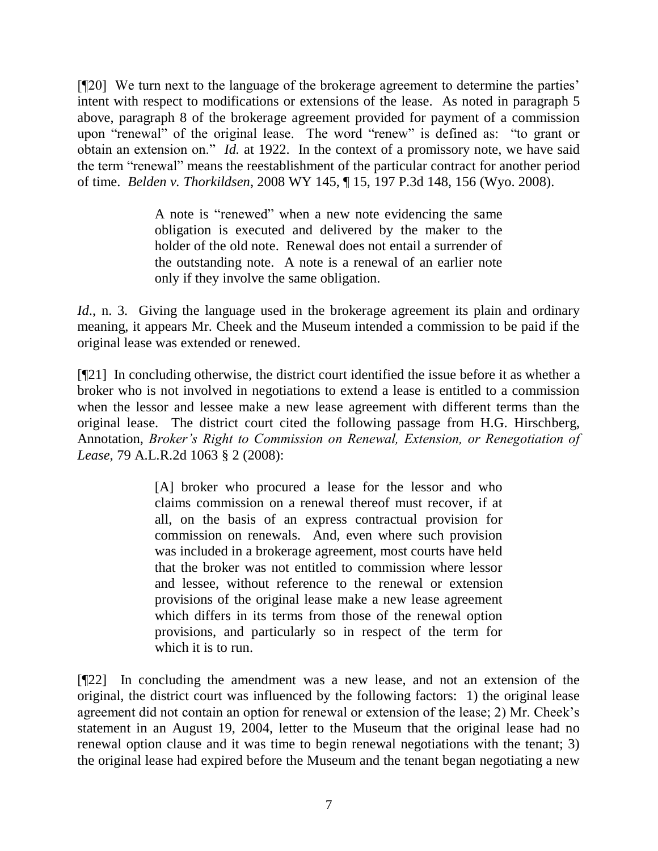[¶20] We turn next to the language of the brokerage agreement to determine the parties' intent with respect to modifications or extensions of the lease. As noted in paragraph 5 above, paragraph 8 of the brokerage agreement provided for payment of a commission upon "renewal" of the original lease. The word "renew" is defined as: "to grant or obtain an extension on." *Id.* at 1922. In the context of a promissory note, we have said the term "renewal" means the reestablishment of the particular contract for another period of time. *Belden v. Thorkildsen*, 2008 WY 145, ¶ 15, 197 P.3d 148, 156 (Wyo. 2008).

> A note is "renewed" when a new note evidencing the same obligation is executed and delivered by the maker to the holder of the old note. Renewal does not entail a surrender of the outstanding note. A note is a renewal of an earlier note only if they involve the same obligation.

*Id.*, n. 3. Giving the language used in the brokerage agreement its plain and ordinary meaning, it appears Mr. Cheek and the Museum intended a commission to be paid if the original lease was extended or renewed.

[¶21] In concluding otherwise, the district court identified the issue before it as whether a broker who is not involved in negotiations to extend a lease is entitled to a commission when the lessor and lessee make a new lease agreement with different terms than the original lease. The district court cited the following passage from H.G. Hirschberg, Annotation, *Broker's Right to Commission on Renewal, Extension, or Renegotiation of Lease*, 79 A.L.R.2d 1063 § 2 (2008):

> [A] broker who procured a lease for the lessor and who claims commission on a renewal thereof must recover, if at all, on the basis of an express contractual provision for commission on renewals. And, even where such provision was included in a brokerage agreement, most courts have held that the broker was not entitled to commission where lessor and lessee, without reference to the renewal or extension provisions of the original lease make a new lease agreement which differs in its terms from those of the renewal option provisions, and particularly so in respect of the term for which it is to run.

[¶22] In concluding the amendment was a new lease, and not an extension of the original, the district court was influenced by the following factors: 1) the original lease agreement did not contain an option for renewal or extension of the lease; 2) Mr. Cheek"s statement in an August 19, 2004, letter to the Museum that the original lease had no renewal option clause and it was time to begin renewal negotiations with the tenant; 3) the original lease had expired before the Museum and the tenant began negotiating a new